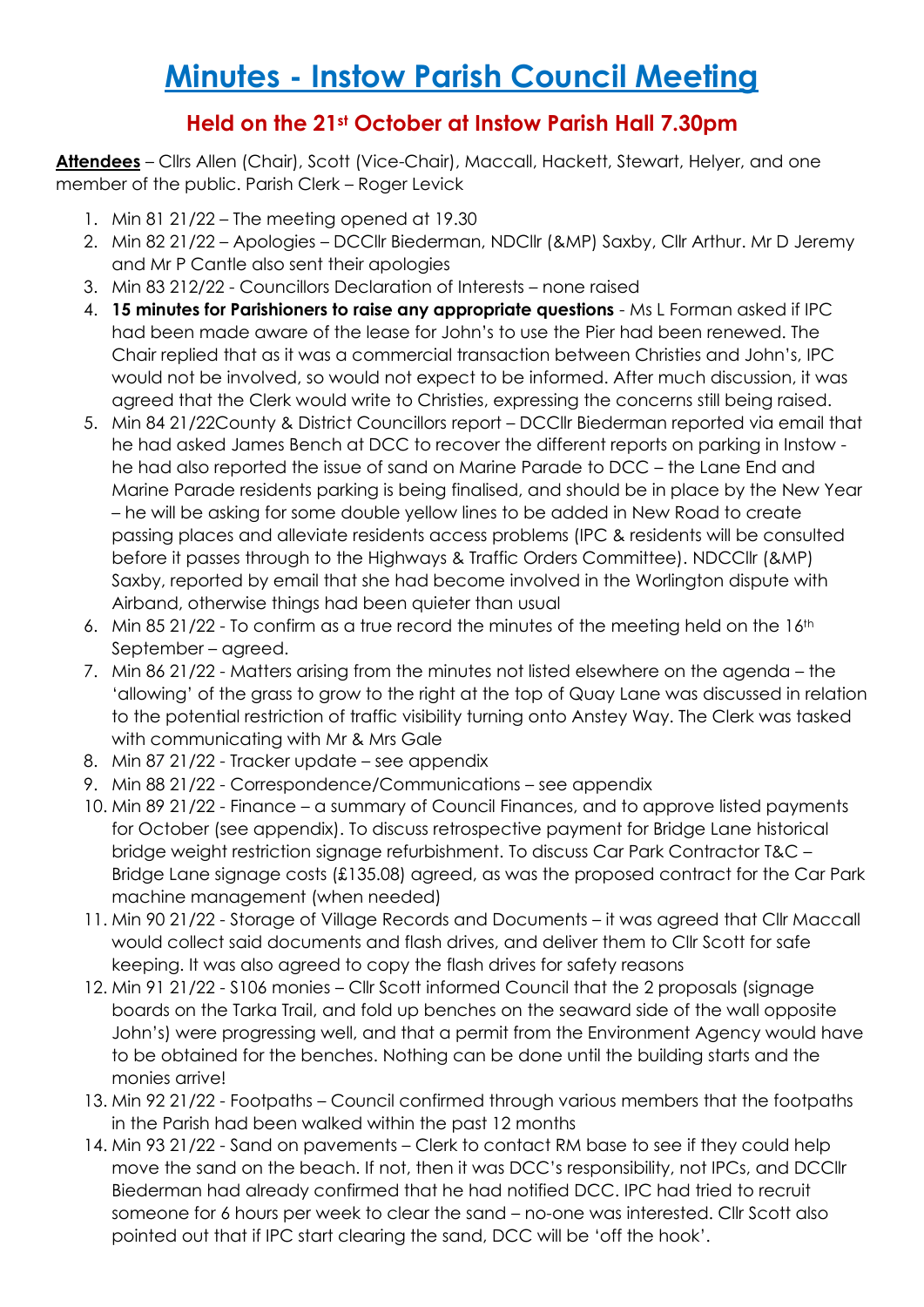# **Minutes - Instow Parish Council Meeting**

## **Held on the 21st October at Instow Parish Hall 7.30pm**

**Attendees** – Cllrs Allen (Chair), Scott (Vice-Chair), Maccall, Hackett, Stewart, Helyer, and one member of the public. Parish Clerk – Roger Levick

- 1. Min 81 21/22 The meeting opened at 19.30
- 2. Min 82 21/22 Apologies DCCllr Biederman, NDCllr (&MP) Saxby, Cllr Arthur. Mr D Jeremy and Mr P Cantle also sent their apologies
- 3. Min 83 212/22 Councillors Declaration of Interests none raised
- 4. **15 minutes for Parishioners to raise any appropriate questions** Ms L Forman asked if IPC had been made aware of the lease for John's to use the Pier had been renewed. The Chair replied that as it was a commercial transaction between Christies and John's, IPC would not be involved, so would not expect to be informed. After much discussion, it was agreed that the Clerk would write to Christies, expressing the concerns still being raised.
- 5. Min 84 21/22County & District Councillors report DCCllr Biederman reported via email that he had asked James Bench at DCC to recover the different reports on parking in Instow he had also reported the issue of sand on Marine Parade to DCC – the Lane End and Marine Parade residents parking is being finalised, and should be in place by the New Year – he will be asking for some double yellow lines to be added in New Road to create passing places and alleviate residents access problems (IPC & residents will be consulted before it passes through to the Highways & Traffic Orders Committee). NDCCllr (&MP) Saxby, reported by email that she had become involved in the Worlington dispute with Airband, otherwise things had been quieter than usual
- 6. Min 85 21/22 To confirm as a true record the minutes of the meeting held on the 16<sup>th</sup> September – agreed.
- 7. Min 86 21/22 Matters arising from the minutes not listed elsewhere on the agenda the 'allowing' of the grass to grow to the right at the top of Quay Lane was discussed in relation to the potential restriction of traffic visibility turning onto Anstey Way. The Clerk was tasked with communicating with Mr & Mrs Gale
- 8. Min 87 21/22 Tracker update see appendix
- 9. Min 88 21/22 Correspondence/Communications see appendix
- 10. Min 89 21/22 Finance a summary of Council Finances, and to approve listed payments for October (see appendix). To discuss retrospective payment for Bridge Lane historical bridge weight restriction signage refurbishment. To discuss Car Park Contractor T&C – Bridge Lane signage costs (£135.08) agreed, as was the proposed contract for the Car Park machine management (when needed)
- 11. Min 90 21/22 Storage of Village Records and Documents it was agreed that Cllr Maccall would collect said documents and flash drives, and deliver them to Cllr Scott for safe keeping. It was also agreed to copy the flash drives for safety reasons
- 12. Min 91 21/22 S106 monies Cllr Scott informed Council that the 2 proposals (signage boards on the Tarka Trail, and fold up benches on the seaward side of the wall opposite John's) were progressing well, and that a permit from the Environment Agency would have to be obtained for the benches. Nothing can be done until the building starts and the monies arrive!
- 13. Min 92 21/22 Footpaths Council confirmed through various members that the footpaths in the Parish had been walked within the past 12 months
- 14. Min 93 21/22 Sand on pavements Clerk to contact RM base to see if they could help move the sand on the beach. If not, then it was DCC's responsibility, not IPCs, and DCCllr Biederman had already confirmed that he had notified DCC. IPC had tried to recruit someone for 6 hours per week to clear the sand – no-one was interested. Cllr Scott also pointed out that if IPC start clearing the sand, DCC will be 'off the hook'.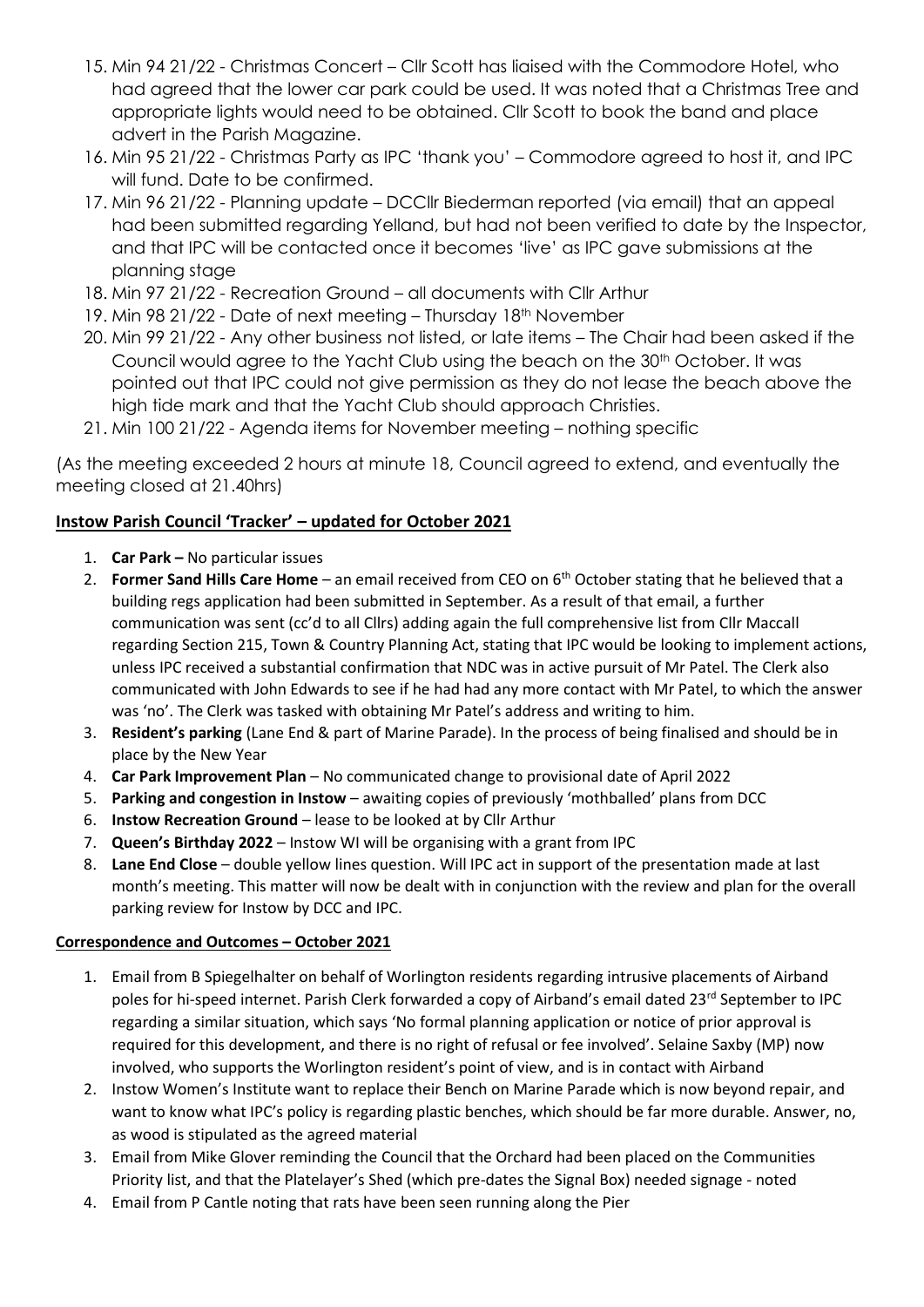- 15. Min 94 21/22 Christmas Concert Cllr Scott has liaised with the Commodore Hotel, who had agreed that the lower car park could be used. It was noted that a Christmas Tree and appropriate lights would need to be obtained. Cllr Scott to book the band and place advert in the Parish Magazine.
- 16. Min 95 21/22 Christmas Party as IPC 'thank you' Commodore agreed to host it, and IPC will fund. Date to be confirmed.
- 17. Min 96 21/22 Planning update DCCllr Biederman reported (via email) that an appeal had been submitted regarding Yelland, but had not been verified to date by the Inspector, and that IPC will be contacted once it becomes 'live' as IPC gave submissions at the planning stage
- 18. Min 97 21/22 Recreation Ground all documents with Cllr Arthur
- 19. Min 98 21/22 Date of next meeting Thursday 18<sup>th</sup> November
- 20. Min 99 21/22 Any other business not listed, or late items The Chair had been asked if the Council would agree to the Yacht Club using the beach on the 30th October. It was pointed out that IPC could not give permission as they do not lease the beach above the high tide mark and that the Yacht Club should approach Christies.
- 21. Min 100 21/22 Agenda items for November meeting nothing specific

(As the meeting exceeded 2 hours at minute 18, Council agreed to extend, and eventually the meeting closed at 21.40hrs)

### **Instow Parish Council 'Tracker' – updated for October 2021**

- 1. **Car Park –** No particular issues
- 2. **Former Sand Hills Care Home** an email received from CEO on 6th October stating that he believed that a building regs application had been submitted in September. As a result of that email, a further communication was sent (cc'd to all Cllrs) adding again the full comprehensive list from Cllr Maccall regarding Section 215, Town & Country Planning Act, stating that IPC would be looking to implement actions, unless IPC received a substantial confirmation that NDC was in active pursuit of Mr Patel. The Clerk also communicated with John Edwards to see if he had had any more contact with Mr Patel, to which the answer was 'no'. The Clerk was tasked with obtaining Mr Patel's address and writing to him.
- 3. **Resident's parking** (Lane End & part of Marine Parade). In the process of being finalised and should be in place by the New Year
- 4. **Car Park Improvement Plan** No communicated change to provisional date of April 2022
- 5. **Parking and congestion in Instow**  awaiting copies of previously 'mothballed' plans from DCC
- 6. **Instow Recreation Ground**  lease to be looked at by Cllr Arthur
- 7. **Queen's Birthday 2022** Instow WI will be organising with a grant from IPC
- 8. **Lane End Close**  double yellow lines question. Will IPC act in support of the presentation made at last month's meeting. This matter will now be dealt with in conjunction with the review and plan for the overall parking review for Instow by DCC and IPC.

#### **Correspondence and Outcomes – October 2021**

- 1. Email from B Spiegelhalter on behalf of Worlington residents regarding intrusive placements of Airband poles for hi-speed internet. Parish Clerk forwarded a copy of Airband's email dated 23rd September to IPC regarding a similar situation, which says 'No formal planning application or notice of prior approval is required for this development, and there is no right of refusal or fee involved'. Selaine Saxby (MP) now involved, who supports the Worlington resident's point of view, and is in contact with Airband
- 2. Instow Women's Institute want to replace their Bench on Marine Parade which is now beyond repair, and want to know what IPC's policy is regarding plastic benches, which should be far more durable. Answer, no, as wood is stipulated as the agreed material
- 3. Email from Mike Glover reminding the Council that the Orchard had been placed on the Communities Priority list, and that the Platelayer's Shed (which pre-dates the Signal Box) needed signage - noted
- 4. Email from P Cantle noting that rats have been seen running along the Pier